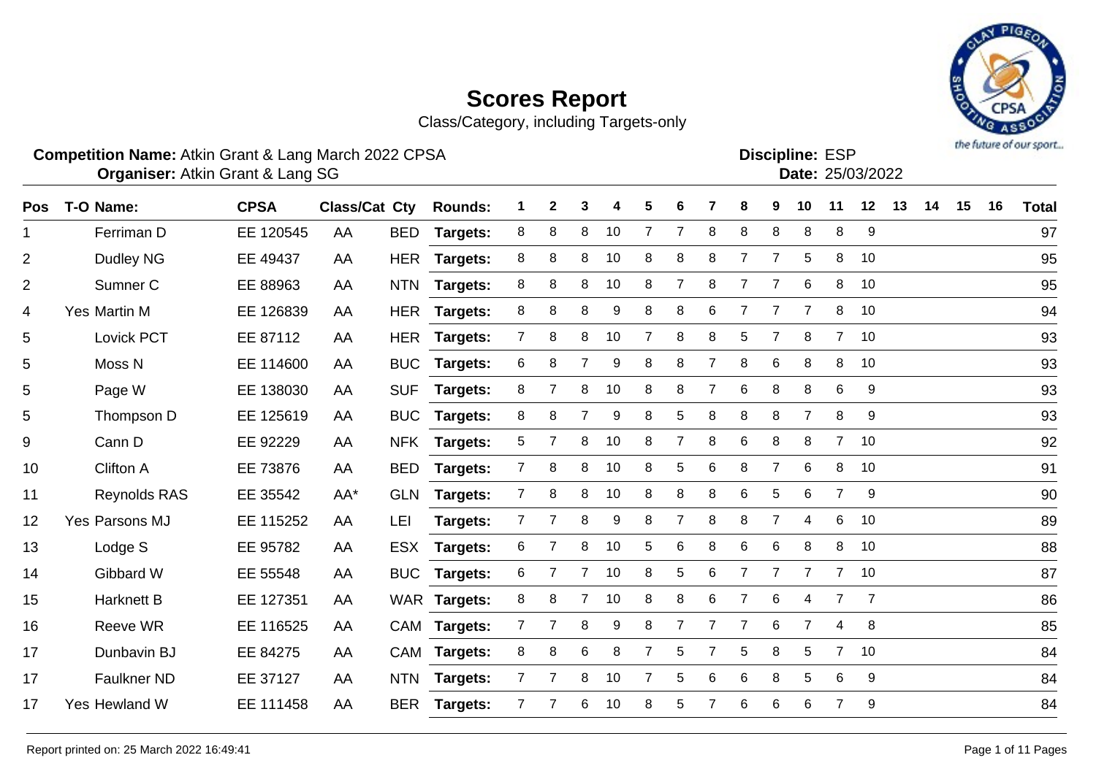

Class/Category, including Targets-only

### **Competition Name:** Atkin Grant & Lang March 2022 CPSA Entertainment of the Competition Name: ESP

**Discipline:**

|  | Date: 25/03/202 |
|--|-----------------|
|  |                 |

| <b>Pos</b>     | T-O Name:           | <b>CPSA</b> | <b>Class/Cat Cty</b> |            | <b>Rounds:</b>  |                | 2 | 3 |    | 5              | 6              |                | 8              | 9              | 10             | 11             | 12             | 13 | 14 | 15 | 16 | <b>Total</b> |
|----------------|---------------------|-------------|----------------------|------------|-----------------|----------------|---|---|----|----------------|----------------|----------------|----------------|----------------|----------------|----------------|----------------|----|----|----|----|--------------|
| 1              | Ferriman D          | EE 120545   | AA                   | <b>BED</b> | Targets:        | 8              | 8 | 8 | 10 | $\overline{7}$ | $\overline{7}$ | 8              | 8              | 8              | 8              | 8              | 9              |    |    |    |    | 97           |
| $\overline{2}$ | Dudley NG           | EE 49437    | AA                   | <b>HER</b> | <b>Targets:</b> | 8              | 8 | 8 | 10 | 8              | 8              | 8              | 7              | 7              | 5              | 8              | 10             |    |    |    |    | 95           |
| $\overline{2}$ | Sumner C            | EE 88963    | AA                   | <b>NTN</b> | Targets:        | 8              | 8 | 8 | 10 | 8              | 7              | 8              | 7              | 7              | 6              | 8              | 10             |    |    |    |    | 95           |
| 4              | Yes Martin M        | EE 126839   | AA                   | <b>HER</b> | Targets:        | 8              | 8 | 8 | 9  | 8              | 8              | 6              | 7              |                | 7              | 8              | 10             |    |    |    |    | 94           |
| 5              | Lovick PCT          | EE 87112    | AA                   | <b>HER</b> | Targets:        | $\overline{7}$ | 8 | 8 | 10 | 7              | 8              | 8              | 5              | $\overline{7}$ | 8              | $7^{\circ}$    | 10             |    |    |    |    | 93           |
| 5              | Moss <sub>N</sub>   | EE 114600   | AA                   | <b>BUC</b> | Targets:        | 6              | 8 | 7 | 9  | 8              | 8              | 7              | 8              | 6              | 8              | 8              | 10             |    |    |    |    | 93           |
| 5              | Page W              | EE 138030   | AA                   | <b>SUF</b> | Targets:        | 8              | 7 | 8 | 10 | 8              | 8              | $\overline{7}$ | 6              | 8              | 8              | 6              | 9              |    |    |    |    | 93           |
| 5              | Thompson D          | EE 125619   | AA                   | <b>BUC</b> | Targets:        | 8              | 8 | 7 | 9  | 8              | 5              | 8              | 8              | 8              | 7              | 8              | 9              |    |    |    |    | 93           |
| 9              | Cann D              | EE 92229    | AA                   | <b>NFK</b> | <b>Targets:</b> | 5              | 7 | 8 | 10 | 8              | $\overline{7}$ | 8              | 6              | 8              | 8              | $7^{\circ}$    | 10             |    |    |    |    | 92           |
| 10             | Clifton A           | EE 73876    | AA                   | <b>BED</b> | Targets:        | $\mathbf{7}$   | 8 | 8 | 10 | 8              | 5              | 6              | 8              | $\overline{7}$ | 6              | 8              | 10             |    |    |    |    | 91           |
| 11             | <b>Reynolds RAS</b> | EE 35542    | AA*                  | <b>GLN</b> | <b>Targets:</b> | $\overline{7}$ | 8 | 8 | 10 | 8              | 8              | 8              | 6              | 5              | 6              | $\overline{7}$ | 9              |    |    |    |    | 90           |
| 12             | Yes Parsons MJ      | EE 115252   | AA                   | LEI        | Targets:        | $\mathbf{7}$   |   | 8 | 9  | 8              |                | 8              | 8              | $\overline{7}$ | 4              | 6              | 10             |    |    |    |    | 89           |
| 13             | Lodge S             | EE 95782    | AA                   | <b>ESX</b> | Targets:        | 6              | 7 | 8 | 10 | 5              | 6              | 8              | 6              | 6              | 8              | 8              | 10             |    |    |    |    | 88           |
| 14             | Gibbard W           | EE 55548    | AA                   | <b>BUC</b> | <b>Targets:</b> | 6              | 7 | 7 | 10 | 8              | $\sqrt{5}$     | 6              | $\overline{7}$ | $\overline{7}$ | $\overline{7}$ | 7 <sup>7</sup> | 10             |    |    |    |    | 87           |
| 15             | <b>Harknett B</b>   | EE 127351   | AA                   |            | WAR Targets:    | 8              | 8 | 7 | 10 | 8              | 8              | 6              | 7              | 6              | 4              | $\overline{7}$ | $\overline{7}$ |    |    |    |    | 86           |
| 16             | Reeve WR            | EE 116525   | AA                   | <b>CAM</b> | <b>Targets:</b> | $\mathbf{7}$   | 7 | 8 | 9  | 8              | 7              | $\overline{7}$ | 7              | 6              | 7              | 4              | 8              |    |    |    |    | 85           |
| 17             | Dunbavin BJ         | EE 84275    | AA                   |            | CAM Targets:    | 8              | 8 | 6 | 8  | 7              | 5              |                | 5              | 8              | 5              | $7^{\circ}$    | 10             |    |    |    |    | 84           |
| 17             | <b>Faulkner ND</b>  | EE 37127    | AA                   | <b>NTN</b> | <b>Targets:</b> | $7^{\circ}$    | 7 | 8 | 10 | 7              | 5              | 6              | 6              | 8              | 5              | 6              | 9              |    |    |    |    | 84           |
| 17             | Yes Hewland W       | EE 111458   | AA                   | <b>BER</b> | <b>Targets:</b> | $\overline{7}$ |   | 6 | 10 | 8              | 5              |                | 6              | 6              | 6              | $\overline{7}$ | 9              |    |    |    |    | 84           |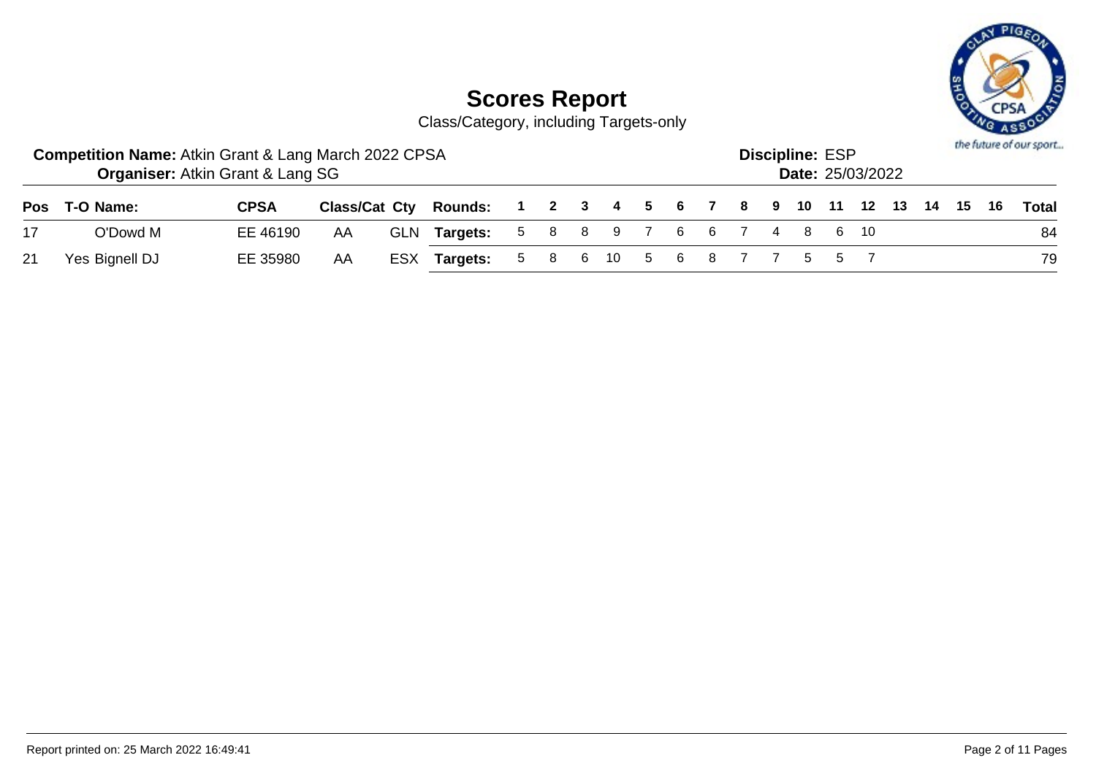

Class/Category, including Targets-only

|    | <b>Competition Name: Atkin Grant &amp; Lang March 2022 CPSA</b> | <b>Organiser: Atkin Grant &amp; Lang SG</b> |    |                                                              |  |  |  |  | <b>Discipline: ESP</b> | <b>Date: 25/03/2022</b> |  |  | the future of our sport |
|----|-----------------------------------------------------------------|---------------------------------------------|----|--------------------------------------------------------------|--|--|--|--|------------------------|-------------------------|--|--|-------------------------|
|    | Pos T-O Name:                                                   | <b>CPSA</b>                                 |    | Class/Cat Cty Rounds: 1 2 3 4 5 6 7 8 9 10 11 12 13 14 15 16 |  |  |  |  |                        |                         |  |  | <b>Total</b>            |
| 17 | O'Dowd M                                                        | EE 46190                                    | AA | GLN Targets: 5 8 8 9 7 6 6 7 4 8 6 10                        |  |  |  |  |                        |                         |  |  | 84                      |
| 21 | Yes Bignell DJ                                                  | EE 35980                                    | AA | ESX Targets: 5 8 6 10 5 6 8 7 7 5 5 7                        |  |  |  |  |                        |                         |  |  | 79                      |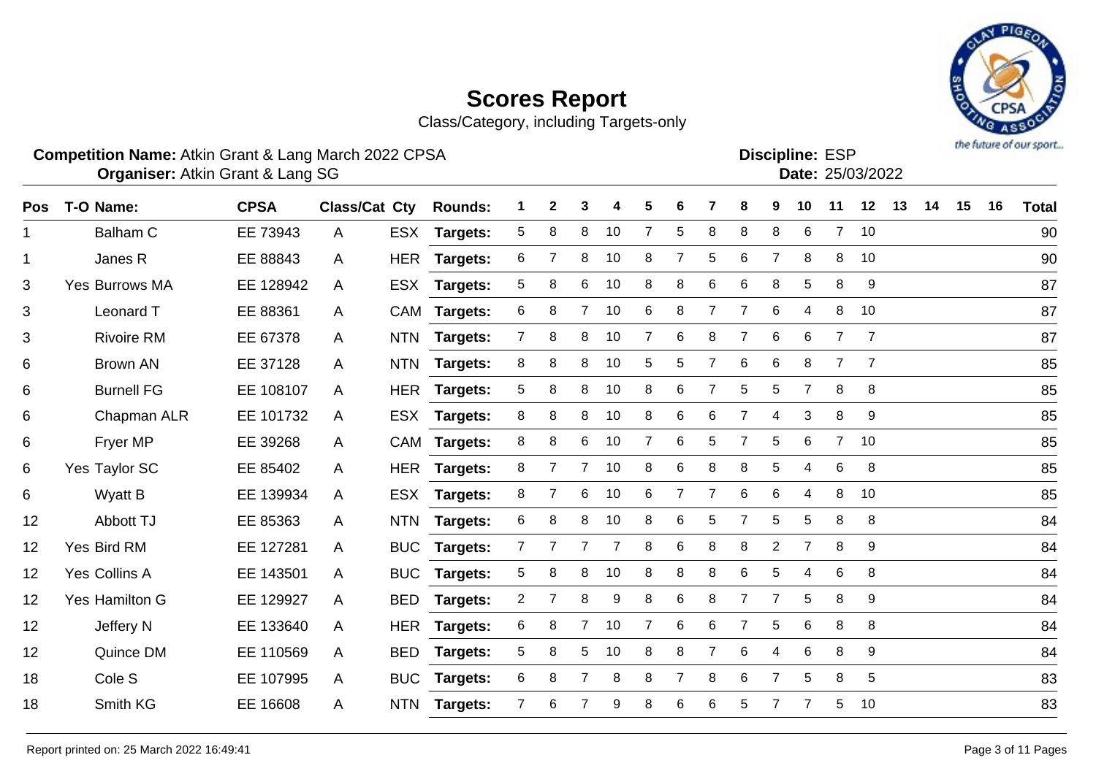# the future of our sport...

# **Scores Report**

Class/Category, including Targets-only

### **Competition Name:** Atkin Grant & Lang March 2022 CPSA Entertainment of the Competition Name: ESP

**Discipline:**

|  | Date: 25/03/202 |
|--|-----------------|
|  |                 |

| <b>Pos</b>  | T-O Name:             | <b>CPSA</b> | Class/Cat Cty |            | <b>Rounds:</b>  | 1.             | $\mathbf{2}$   | 3              | 4  | 5              | 6              |                | 8              | 9              | 10             | 11             | 12             | 13 | 14 | 15 | 16 | <b>Total</b> |
|-------------|-----------------------|-------------|---------------|------------|-----------------|----------------|----------------|----------------|----|----------------|----------------|----------------|----------------|----------------|----------------|----------------|----------------|----|----|----|----|--------------|
| $\mathbf 1$ | <b>Balham C</b>       | EE 73943    | A             | ESX        | <b>Targets:</b> | 5              | 8              | 8              | 10 | $\overline{7}$ | 5              | 8              | 8              | 8              | 6              | $\overline{7}$ | 10             |    |    |    |    | 90           |
| $\mathbf 1$ | Janes R               | EE 88843    | A             | <b>HER</b> | <b>Targets:</b> | 6              | 7              | 8              | 10 | 8              | 7              | 5              | 6              | 7              | 8              | 8              | 10             |    |    |    |    | 90           |
| 3           | <b>Yes Burrows MA</b> | EE 128942   | A             |            | ESX Targets:    | 5              | 8              | 6              | 10 | 8              | 8              | 6              | 6              | 8              | $\sqrt{5}$     | 8              | 9              |    |    |    |    | 87           |
| 3           | Leonard T             | EE 88361    | A             |            | CAM Targets:    | 6              | 8              | $\overline{7}$ | 10 | 6              | 8              |                | $\overline{7}$ | $6\phantom{1}$ | 4              | 8              | 10             |    |    |    |    | 87           |
| 3           | <b>Rivoire RM</b>     | EE 67378    | A             | <b>NTN</b> | Targets:        | 7              | 8              | 8              | 10 | 7              | 6              | 8              | $\overline{7}$ | 6              | 6              | $\overline{7}$ | 7              |    |    |    |    | 87           |
| 6           | Brown AN              | EE 37128    | A             | <b>NTN</b> | Targets:        | 8              | 8              | 8              | 10 | 5              | 5              |                | 6              | 6              | 8              | $\overline{7}$ | $\overline{7}$ |    |    |    |    | 85           |
| 6           | <b>Burnell FG</b>     | EE 108107   | A             |            | HER Targets:    | 5              | 8              | 8              | 10 | 8              | 6              | $\overline{7}$ | 5              | 5              | $\overline{7}$ | 8              | 8              |    |    |    |    | 85           |
| 6           | Chapman ALR           | EE 101732   | A             |            | ESX Targets:    | 8              | 8              | 8              | 10 | 8              | 6              | 6              | $\overline{7}$ | 4              | 3              | 8              | 9              |    |    |    |    | 85           |
| 6           | Fryer MP              | EE 39268    | A             |            | CAM Targets:    | 8              | 8              | 6              | 10 | 7              | 6              | 5              | 7              | 5              | 6              | $\mathbf{7}$   | 10             |    |    |    |    | 85           |
| 6           | Yes Taylor SC         | EE 85402    | A             |            | HER Targets:    | 8              |                | $\overline{7}$ | 10 | 8              | 6              | 8              | 8              | 5              | 4              | 6              | 8              |    |    |    |    | 85           |
| 6           | <b>Wyatt B</b>        | EE 139934   | A             |            | ESX Targets:    | 8              |                | $\,6$          | 10 | 6              | $\overline{7}$ |                | $\,6$          | 6              | 4              | 8              | 10             |    |    |    |    | 85           |
| 12          | Abbott TJ             | EE 85363    | A             | <b>NTN</b> | Targets:        | 6              | 8              | 8              | 10 | 8              | 6              | 5              | 7              | 5              | 5              | 8              | 8              |    |    |    |    | 84           |
| 12          | Yes Bird RM           | EE 127281   | A             | <b>BUC</b> | Targets:        | 7              |                |                |    | 8              | 6              | 8              | 8              | $\overline{2}$ | $\overline{7}$ | 8              | 9              |    |    |    |    | 84           |
| 12          | Yes Collins A         | EE 143501   | A             |            | BUC Targets:    | 5              | 8              | 8              | 10 | 8              | 8              | 8              | 6              | 5              | 4              | 6              | 8              |    |    |    |    | 84           |
| 12          | Yes Hamilton G        | EE 129927   | A             | <b>BED</b> | <b>Targets:</b> | $\overline{2}$ | $\overline{7}$ | 8              | 9  | 8              | 6              | 8              | $\overline{7}$ | $\overline{7}$ | 5              | 8              | 9              |    |    |    |    | 84           |
| 12          | Jeffery N             | EE 133640   | A             | HER        | <b>Targets:</b> | 6              | 8              | $\overline{7}$ | 10 | 7              | 6              | 6              | $\overline{7}$ | 5              | 6              | 8              | 8              |    |    |    |    | 84           |
| 12          | Quince DM             | EE 110569   | A             | <b>BED</b> | <b>Targets:</b> | 5              | 8              | 5              | 10 | 8              | 8              |                | 6              | 4              | 6              | 8              | 9              |    |    |    |    | 84           |
| 18          | Cole <sub>S</sub>     | EE 107995   | A             |            | BUC Targets:    | 6              | 8              | $\overline{7}$ | 8  | 8              | 7              | 8              | 6              | $\overline{7}$ | 5              | 8              | 5              |    |    |    |    | 83           |
| 18          | Smith KG              | EE 16608    | A             | <b>NTN</b> | <b>Targets:</b> | $\overline{7}$ | 6              |                | 9  | 8              | 6              | 6              | 5              |                |                | 5              | 10             |    |    |    |    | 83           |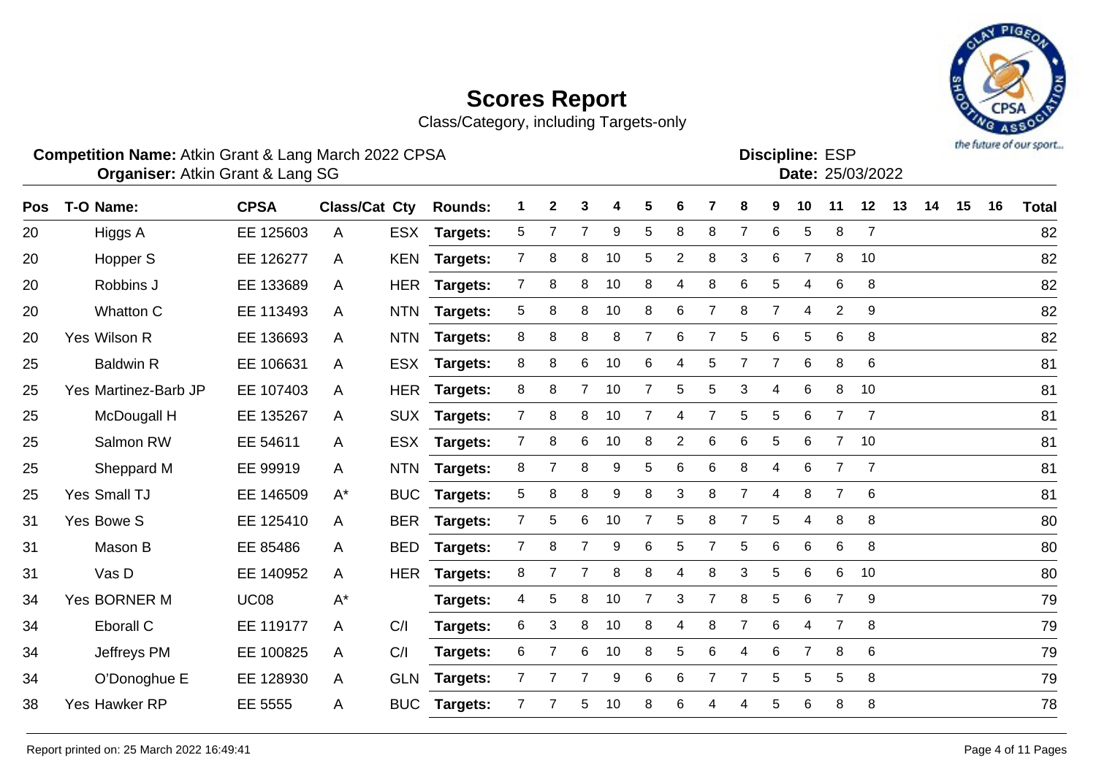Class/Category, including Targets-only



Atkin Grant & Lang SG 25/03/2022 **Organiser: Date:**

**Discipline: ESP<br>
<b>Date:** 25/03/2022

| <b>Pos</b> | T-O Name:            | <b>CPSA</b> | <b>Class/Cat Cty</b> |            | <b>Rounds:</b>  | 1              | $\mathbf{2}$   | 3              | 4  | 5              | 6 |                | 8              | 9              | 10             | 11             | 12             | 13 | 14 | 15 | 16 | <b>Total</b> |
|------------|----------------------|-------------|----------------------|------------|-----------------|----------------|----------------|----------------|----|----------------|---|----------------|----------------|----------------|----------------|----------------|----------------|----|----|----|----|--------------|
| 20         | Higgs A              | EE 125603   | A                    | <b>ESX</b> | <b>Targets:</b> | 5              | 7              | 7              | 9  | 5              | 8 | 8              | $\overline{7}$ | $6\phantom{1}$ | 5              | 8              | $\overline{7}$ |    |    |    |    | 82           |
|            |                      |             |                      |            |                 |                |                |                |    |                |   |                |                |                |                |                |                |    |    |    |    |              |
| 20         | Hopper S             | EE 126277   | A                    | <b>KEN</b> | <b>Targets:</b> | $\mathbf{7}$   | 8              | 8              | 10 | 5              | 2 | 8              | 3              | 6              | $\overline{7}$ | 8              | 10             |    |    |    |    | 82           |
| 20         | Robbins J            | EE 133689   | A                    |            | HER Targets:    | $\mathbf{7}$   | 8              | 8              | 10 | 8              | 4 | 8              | 6              | 5              | 4              | $\,6$          | 8              |    |    |    |    | 82           |
| 20         | Whatton C            | EE 113493   | A                    | <b>NTN</b> | <b>Targets:</b> | 5              | 8              | 8              | 10 | 8              | 6 | $\overline{7}$ | 8              | $\overline{7}$ | $\overline{4}$ | $\overline{2}$ | 9              |    |    |    |    | 82           |
| 20         | Yes Wilson R         | EE 136693   | A                    | <b>NTN</b> | Targets:        | 8              | 8              | 8              | 8  | 7              | 6 | $\overline{7}$ | 5              | 6              | 5              | 6              | 8              |    |    |    |    | 82           |
| 25         | <b>Baldwin R</b>     | EE 106631   | A                    | <b>ESX</b> | Targets:        | 8              | 8              | 6              | 10 | 6              | 4 | 5              | 7              | 7              | 6              | 8              | 6              |    |    |    |    | 81           |
| 25         | Yes Martinez-Barb JP | EE 107403   | A                    |            | HER Targets:    | 8              | 8              | $\overline{7}$ | 10 | $\overline{7}$ | 5 | 5              | 3              | 4              | 6              | 8              | 10             |    |    |    |    | 81           |
| 25         | McDougall H          | EE 135267   | A                    |            | SUX Targets:    | 7              | 8              | 8              | 10 | 7              | 4 | $\overline{7}$ | 5              | 5              | 6              | $\overline{7}$ | $\overline{7}$ |    |    |    |    | 81           |
| 25         | Salmon RW            | EE 54611    | A                    | <b>ESX</b> | <b>Targets:</b> | $\overline{7}$ | 8              | 6              | 10 | 8              | 2 | 6              | 6              | 5              | 6              | $\overline{7}$ | 10             |    |    |    |    | 81           |
| 25         | Sheppard M           | EE 99919    | A                    | <b>NTN</b> | <b>Targets:</b> | 8              | 7              | 8              | 9  | 5              | 6 | 6              | 8              | 4              | 6              | $\overline{7}$ | $\overline{7}$ |    |    |    |    | 81           |
| 25         | Yes Small TJ         | EE 146509   | $A^*$                | <b>BUC</b> | <b>Targets:</b> | 5              | 8              | 8              | 9  | 8              | 3 | 8              | 7              | 4              | 8              | $\overline{7}$ | 6              |    |    |    |    | 81           |
| 31         | Yes Bowe S           | EE 125410   | A                    | <b>BER</b> | Targets:        | $\overline{7}$ | 5              | 6              | 10 | 7              | 5 | 8              | $\overline{7}$ | 5              | $\overline{4}$ | 8              | 8              |    |    |    |    | 80           |
| 31         | Mason B              | EE 85486    | A                    | <b>BED</b> | Targets:        | 7              | 8              | 7              | 9  | 6              | 5 | $\overline{7}$ | 5              | 6              | 6              | 6              | 8              |    |    |    |    | 80           |
| 31         | Vas D                | EE 140952   | A                    | <b>HER</b> | <b>Targets:</b> | 8              | 7              | 7              | 8  | 8              | 4 | 8              | 3              | 5              | 6              | 6              | 10             |    |    |    |    | 80           |
| 34         | Yes BORNER M         | <b>UC08</b> | $A^*$                |            | Targets:        | 4              | 5              | 8              | 10 | 7              | 3 | $\overline{7}$ | 8              | 5              | 6              | $\overline{7}$ | 9              |    |    |    |    | 79           |
| 34         | Eborall C            | EE 119177   | A                    | C/I        | Targets:        | 6              | 3              | 8              | 10 | 8              | 4 | 8              | $\overline{7}$ | $6\phantom{1}$ | 4              | $\overline{7}$ | 8              |    |    |    |    | 79           |
| 34         | Jeffreys PM          | EE 100825   | A                    | C/I        | Targets:        | 6              | $\overline{7}$ | 6              | 10 | 8              | 5 | 6              | 4              | 6              | $\overline{7}$ | 8              | 6              |    |    |    |    | 79           |
| 34         | O'Donoghue E         | EE 128930   | A                    | <b>GLN</b> | <b>Targets:</b> | $\overline{7}$ |                | $\overline{7}$ | 9  | 6              | 6 | $\overline{7}$ | $\overline{7}$ | 5              | 5              | 5              | 8              |    |    |    |    | 79           |
| 38         | Yes Hawker RP        | EE 5555     | A                    | <b>BUC</b> | Targets:        | $\overline{7}$ |                | 5              | 10 | 8              | 6 | 4              | 4              | 5              | 6              | 8              | 8              |    |    |    |    | 78           |
|            |                      |             |                      |            |                 |                |                |                |    |                |   |                |                |                |                |                |                |    |    |    |    |              |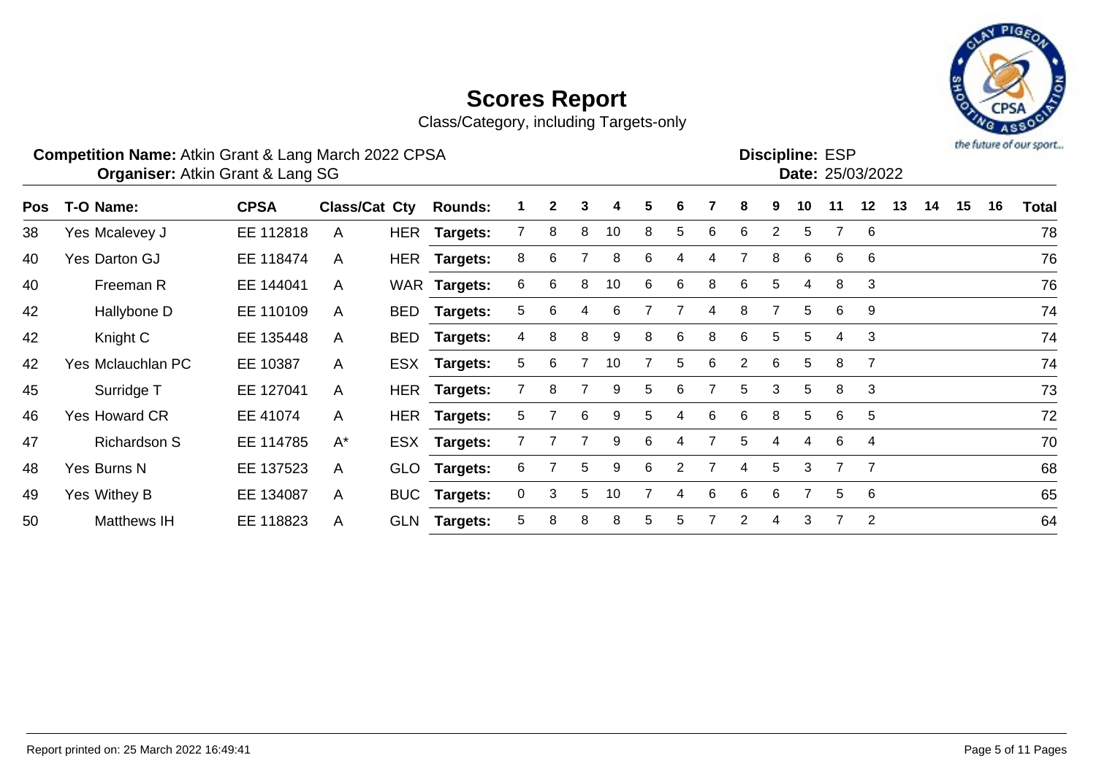# the future of our sport...

# **Scores Report**

Class/Category, including Targets-only

### **Competition Name:** Atkin Grant & Lang March 2022 CPSA Entertainment of the Competition Name: ESP

**Discipline:**

| Date: 25/03/202 |
|-----------------|
|                 |

| T-O Name:            | <b>CPSA</b> |              | <b>Rounds:</b>       |                                                                                                                                                                                              | $\mathbf{2}$ | 3 | 4  |   |   |   | 8 |   | 10           |   | 12             | 13 | 14 | 15 | 16 | <b>Total</b> |
|----------------------|-------------|--------------|----------------------|----------------------------------------------------------------------------------------------------------------------------------------------------------------------------------------------|--------------|---|----|---|---|---|---|---|--------------|---|----------------|----|----|----|----|--------------|
| Yes Mcalevey J       | EE 112818   | A            |                      |                                                                                                                                                                                              | 8            | 8 | 10 | 8 | 5 | 6 | 6 | 2 | 5            |   | - 6            |    |    |    |    | 78           |
| Yes Darton GJ        | EE 118474   | A            |                      | 8                                                                                                                                                                                            | 6            |   | 8  | 6 | 4 | 4 | 7 | 8 | 6            | 6 | 6              |    |    |    |    | 76           |
| Freeman R            | EE 144041   | A            |                      | 6                                                                                                                                                                                            | 6            | 8 | 10 | 6 | 6 | 8 | 6 | 5 | 4            | 8 | 3              |    |    |    |    | 76           |
| Hallybone D          | EE 110109   | A            |                      | 5                                                                                                                                                                                            | 6            | 4 | 6  |   |   | 4 | 8 |   | 5.           | 6 | 9              |    |    |    |    | 74           |
| Knight C             | EE 135448   | A            |                      | 4                                                                                                                                                                                            | 8            | 8 | 9  | 8 | 6 | 8 | 6 | 5 | 5            | 4 | 3              |    |    |    |    | 74           |
| Yes Mclauchlan PC    | EE 10387    | $\mathsf{A}$ |                      | 5                                                                                                                                                                                            | 6            |   | 10 |   | 5 | 6 | 2 | 6 | 5            | 8 |                |    |    |    |    | 74           |
| Surridge T           | EE 127041   | $\mathsf{A}$ |                      |                                                                                                                                                                                              | 8            |   | 9  | 5 | 6 |   | 5 | 3 | 5            | 8 | 3              |    |    |    |    | 73           |
| <b>Yes Howard CR</b> | EE 41074    | $\mathsf{A}$ |                      | 5                                                                                                                                                                                            |              | 6 | 9  | 5 | 4 | 6 | 6 | 8 | 5            | 6 | 5              |    |    |    |    | 72           |
| <b>Richardson S</b>  | EE 114785   | $A^*$        |                      |                                                                                                                                                                                              |              |   | 9  | 6 | 4 |   | 5 | 4 | 4            | 6 | 4              |    |    |    |    | 70           |
| Yes Burns N          | EE 137523   | A            |                      | 6                                                                                                                                                                                            |              | 5 | 9  | 6 | 2 |   | 4 | 5 | 3            |   | 7              |    |    |    |    | 68           |
| Yes Withey B         | EE 134087   | A            |                      | 0                                                                                                                                                                                            | 3            | 5 | 10 |   | 4 | 6 | 6 | 6 | <sup>7</sup> | 5 | 6              |    |    |    |    | 65           |
| <b>Matthews IH</b>   | EE 118823   | A            |                      | 5                                                                                                                                                                                            | 8            | 8 | 8  | 5 | 5 |   | 2 | 4 | 3            | 7 | $\overline{2}$ |    |    |    |    | 64           |
|                      |             |              | <b>Class/Cat Cty</b> | HER Targets:<br>HER Targets:<br>WAR Targets:<br>BED Targets:<br>BED Targets:<br>ESX Targets:<br>HER Targets:<br>HER Targets:<br>ESX Targets:<br>GLO Targets:<br>BUC Targets:<br>GLN Targets: |              |   |    |   |   |   |   |   |              |   |                |    |    |    |    |              |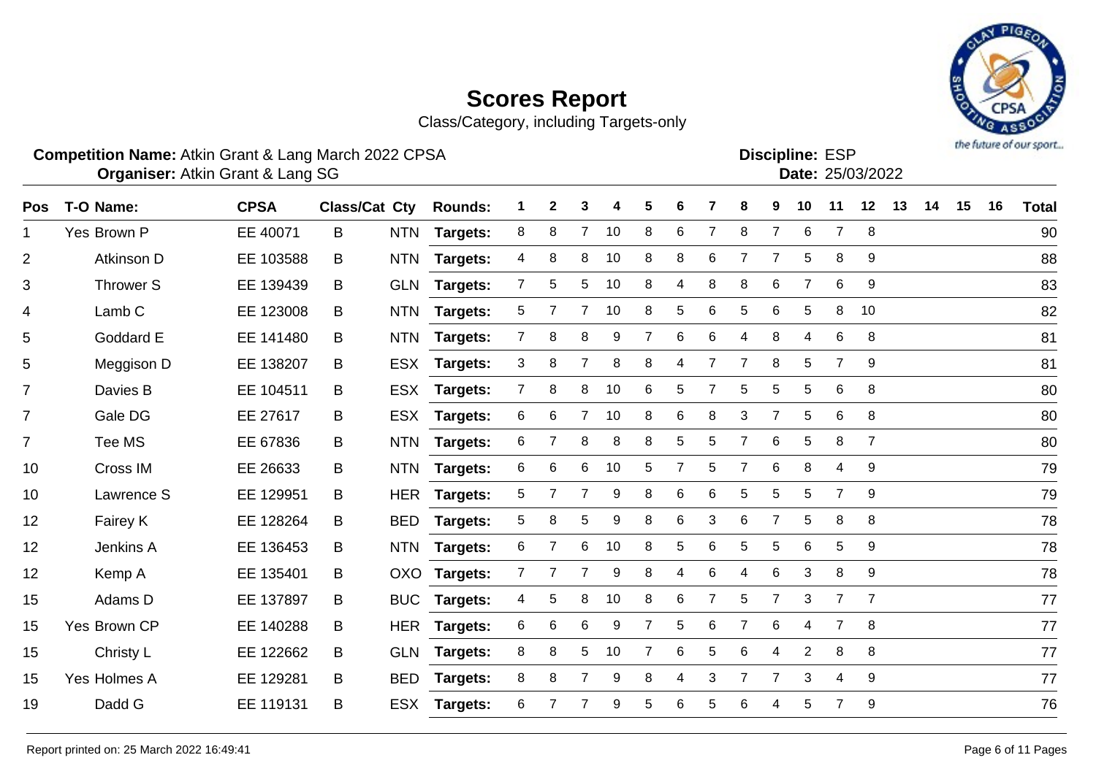Class/Category, including Targets-only



#### **Competition Name:** Atkin Grant & Lang March 2022 CPSA Entertainment of the Competition Name: ESP

Atkin Grant & Lang SG 25/03/2022 **Organiser: Date:**

Discipline: ESP<br>Date: 25/03/2022

| Pos            | T-O Name:         | <b>CPSA</b> | <b>Class/Cat Cty</b> |            | <b>Rounds:</b>  |                | $\mathbf{2}$ | 3              | 4  | 5              | 6              |                | 8              | 9              | 10             | 11             | 12             | 13 | 14 | 15 | 16 | <b>Total</b> |
|----------------|-------------------|-------------|----------------------|------------|-----------------|----------------|--------------|----------------|----|----------------|----------------|----------------|----------------|----------------|----------------|----------------|----------------|----|----|----|----|--------------|
| 1              | Yes Brown P       | EE 40071    | B                    | <b>NTN</b> | Targets:        | 8              | 8            | 7              | 10 | 8              | 6              | $\overline{7}$ | 8              | $\overline{7}$ | 6              | $\overline{7}$ | 8              |    |    |    |    | 90           |
|                |                   |             |                      |            |                 |                |              |                |    |                |                |                |                |                |                |                |                |    |    |    |    |              |
| 2              | Atkinson D        | EE 103588   | B                    | <b>NTN</b> | Targets:        | 4              | 8            | 8              | 10 | 8              | 8              | 6              | $\overline{7}$ | $\overline{7}$ | 5              | 8              | 9              |    |    |    |    | 88           |
| 3              | <b>Thrower S</b>  | EE 139439   | B                    |            | GLN Targets:    | $\overline{7}$ | 5            | 5              | 10 | 8              | 4              | 8              | 8              | 6              | 7              | 6              | 9              |    |    |    |    | 83           |
| 4              | Lamb <sub>C</sub> | EE 123008   | B                    | <b>NTN</b> | <b>Targets:</b> | 5              | 7            | 7              | 10 | 8              | 5              | 6              | 5              | 6              | 5              | 8              | 10             |    |    |    |    | 82           |
| 5              | Goddard E         | EE 141480   | B                    | <b>NTN</b> | <b>Targets:</b> | $\mathbf{7}$   | 8            | 8              | 9  | $\overline{7}$ | 6              | 6              | 4              | 8              | 4              | 6              | 8              |    |    |    |    | 81           |
| 5              | Meggison D        | EE 138207   | B                    | <b>ESX</b> | <b>Targets:</b> | 3              | 8            | $\overline{7}$ | 8  | 8              | 4              |                | $\overline{7}$ | 8              | 5              | $\overline{7}$ | 9              |    |    |    |    | 81           |
| 7              | Davies B          | EE 104511   | B                    | <b>ESX</b> | Targets:        | $\overline{7}$ | 8            | 8              | 10 | 6              | 5              |                | 5              | 5              | 5              | 6              | 8              |    |    |    |    | 80           |
| $\overline{7}$ | Gale DG           | EE 27617    | B                    | <b>ESX</b> | Targets:        | 6              | 6            | 7              | 10 | 8              | 6              | 8              | 3              | 7              | 5              | 6              | 8              |    |    |    |    | 80           |
| $\overline{7}$ | Tee MS            | EE 67836    | B                    | <b>NTN</b> | Targets:        | 6              | 7            | 8              | 8  | 8              | 5              | 5              | $\overline{7}$ | 6              | 5              | 8              | $\overline{7}$ |    |    |    |    | 80           |
| 10             | Cross IM          | EE 26633    | B                    | <b>NTN</b> | <b>Targets:</b> | 6              | $\,6$        | 6              | 10 | 5              | $\overline{7}$ | 5              | $\overline{7}$ | $6\phantom{1}$ | 8              | 4              | 9              |    |    |    |    | 79           |
| 10             | Lawrence S        | EE 129951   | B                    | <b>HER</b> | <b>Targets:</b> | 5              | 7            | 7              | 9  | 8              | 6              | 6              | 5              | 5              | 5              | $\overline{7}$ | 9              |    |    |    |    | 79           |
| 12             | Fairey K          | EE 128264   | B                    | <b>BED</b> | Targets:        | 5              | 8            | 5              | 9  | 8              | 6              | 3              | 6              | 7              | 5              | 8              | 8              |    |    |    |    | 78           |
| 12             | Jenkins A         | EE 136453   | B                    | <b>NTN</b> | <b>Targets:</b> | 6              | 7            | 6              | 10 | 8              | 5              | 6              | 5              | 5              | 6              | 5              | 9              |    |    |    |    | 78           |
| 12             | Kemp A            | EE 135401   | B                    | OXO        | <b>Targets:</b> | $\mathbf{7}$   | 7            | 7              | 9  | 8              | 4              | 6              | 4              | 6              | 3              | 8              | 9              |    |    |    |    | 78           |
| 15             | Adams D           | EE 137897   | B                    | <b>BUC</b> | <b>Targets:</b> | 4              | 5            | 8              | 10 | 8              | 6              | 7              | 5              | $\overline{7}$ | 3              | $\overline{7}$ | $\overline{7}$ |    |    |    |    | 77           |
| 15             | Yes Brown CP      | EE 140288   | B                    |            | HER Targets:    | 6              | 6            | 6              | 9  | $\overline{7}$ | 5              | 6              | $\overline{7}$ | $6\phantom{1}$ | 4              | $\overline{7}$ | 8              |    |    |    |    | 77           |
| 15             | Christy L         | EE 122662   | B                    | <b>GLN</b> | <b>Targets:</b> | 8              | 8            | 5              | 10 | $\overline{7}$ | 6              | 5              | 6              | 4              | $\overline{2}$ | 8              | 8              |    |    |    |    | 77           |
| 15             | Yes Holmes A      | EE 129281   | B                    | <b>BED</b> | Targets:        | 8              | 8            | 7              | 9  | 8              | 4              | 3              | 7              | 7              | 3              | 4              | 9              |    |    |    |    | 77           |
| 19             | Dadd G            | EE 119131   | B                    | <b>ESX</b> | <b>Targets:</b> | 6              |              | 7              | 9  | 5              | 6              | 5              | 6              | 4              | 5              | $\overline{7}$ | 9              |    |    |    |    | 76           |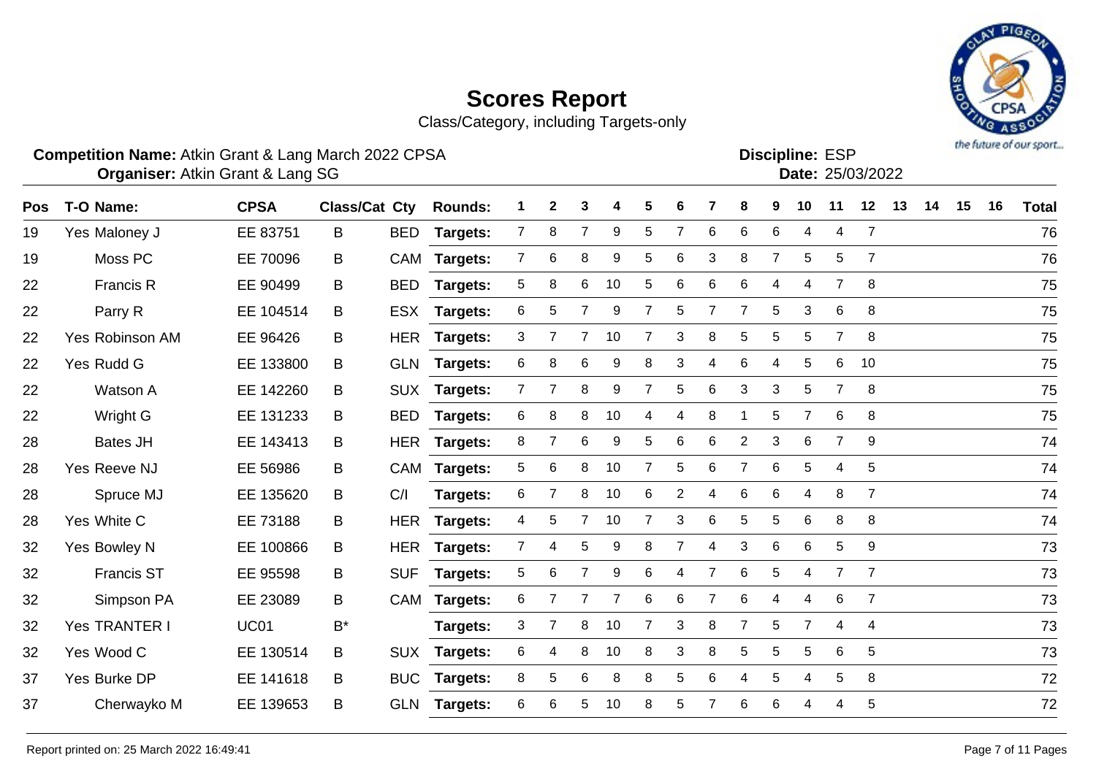# the future of our sport...

# **Scores Report**

Class/Category, including Targets-only

### **Competition Name:** Atkin Grant & Lang March 2022 CPSA Entertainment of the Competition Name: ESP

Discipline: ESP<br>Date: 25/03/2022

| <b>Pos</b> | T-O Name:         | <b>CPSA</b> | <b>Class/Cat Cty</b> |            | <b>Rounds:</b>  |                | $\mathbf 2$    | 3              | 4                | 5              | 6              |                | 8              | 9              | 10             | 11              | 12              | 13 | 14 | 15 | 16 | <b>Total</b> |
|------------|-------------------|-------------|----------------------|------------|-----------------|----------------|----------------|----------------|------------------|----------------|----------------|----------------|----------------|----------------|----------------|-----------------|-----------------|----|----|----|----|--------------|
| 19         | Yes Maloney J     | EE 83751    | B                    | <b>BED</b> | Targets:        | $\overline{7}$ | 8              | $\overline{7}$ | 9                | 5              | $\overline{7}$ | 6              | 6              | 6              | 4              | $\overline{4}$  | $\overline{7}$  |    |    |    |    | 76           |
| 19         | Moss PC           | EE 70096    | B                    |            | CAM Targets:    | $\overline{7}$ | $\,6$          | 8              | 9                | 5              | 6              | 3              | 8              | $\overline{7}$ | 5              | 5               | $\overline{7}$  |    |    |    |    | 76           |
| 22         | Francis R         | EE 90499    | В                    | <b>BED</b> | Targets:        | 5              | 8              | 6              | 10               | 5              | 6              | 6              | 6              | 4              | 4              | $\overline{7}$  | 8               |    |    |    |    | 75           |
| 22         | Parry R           | EE 104514   | B                    |            | ESX Targets:    | 6              | 5              |                | 9                | $\overline{7}$ | 5              | $\overline{7}$ | $\overline{7}$ | 5              | 3              | 6               | 8               |    |    |    |    | 75           |
| 22         | Yes Robinson AM   | EE 96426    | В                    |            | HER Targets:    | 3              | $\overline{7}$ | $\overline{7}$ | 10               | $\overline{7}$ | 3              | $\bf 8$        | $\,$ 5 $\,$    | 5              | 5              | $\overline{7}$  | 8               |    |    |    |    | 75           |
| 22         | Yes Rudd G        | EE 133800   | В                    |            | GLN Targets:    | 6              | 8              | 6              | 9                | 8              | 3              | 4              | 6              | 4              | 5              | 6               | 10              |    |    |    |    | 75           |
| 22         | Watson A          | EE 142260   | В                    |            | SUX Targets:    | $7^{\circ}$    | 7              | 8              | 9                | $\overline{7}$ | 5              | 6              | 3              | 3              | 5              | $\overline{7}$  | 8               |    |    |    |    | 75           |
| 22         | Wright G          | EE 131233   | В                    |            | BED Targets:    | 6              | 8              | 8              | 10               | 4              | 4              | 8              | 1              | 5              | $\overline{7}$ | 6               | 8               |    |    |    |    | 75           |
| 28         | <b>Bates JH</b>   | EE 143413   | B                    | <b>HER</b> | <b>Targets:</b> | 8              | 7              | 6              | 9                | 5              | 6              | 6              | $\overline{c}$ | 3              | 6              | $\overline{7}$  | 9               |    |    |    |    | 74           |
| 28         | Yes Reeve NJ      | EE 56986    | B                    |            | CAM Targets:    | 5              | $\,6$          | 8              | 10               | $\overline{7}$ | 5              | 6              | $\overline{7}$ | 6              | 5              | 4               | 5               |    |    |    |    | 74           |
| 28         | Spruce MJ         | EE 135620   | B                    | C/I        | <b>Targets:</b> | 6              | $\overline{7}$ | 8              | 10               | 6              | 2              | 4              | 6              | 6              | 4              | 8               | $\overline{7}$  |    |    |    |    | 74           |
| 28         | Yes White C       | EE 73188    | B                    |            | HER Targets:    | 4              | 5              | 7 <sup>7</sup> | 10               | $\overline{7}$ | 3              | 6              | 5              | 5              | 6              | 8               | 8               |    |    |    |    | 74           |
| 32         | Yes Bowley N      | EE 100866   | В                    | HER        | Targets:        | $\overline{7}$ | 4              | 5              | $\boldsymbol{9}$ | 8              | $\overline{7}$ | 4              | 3              | 6              | 6              | $\overline{5}$  | 9               |    |    |    |    | 73           |
| 32         | <b>Francis ST</b> | EE 95598    | B                    | <b>SUF</b> | Targets:        | 5              | 6              | $\overline{7}$ | $\boldsymbol{9}$ | 6              | 4              | $\overline{7}$ | 6              | 5              | 4              | $\overline{7}$  | $\overline{7}$  |    |    |    |    | 73           |
| 32         | Simpson PA        | EE 23089    | B                    |            | CAM Targets:    | 6              | $\overline{7}$ |                | 7                | 6              | 6              | $\overline{7}$ | 6              | 4              | $\overline{4}$ | $6\phantom{1}6$ | $\overline{7}$  |    |    |    |    | 73           |
| 32         | Yes TRANTER I     | <b>UC01</b> | B*                   |            | Targets:        | 3              |                | 8              | 10               | $\overline{7}$ | 3              | 8              | $\overline{7}$ | 5              | $\overline{7}$ | $\overline{4}$  | 4               |    |    |    |    | 73           |
| 32         | Yes Wood C        | EE 130514   | В                    |            | SUX Targets:    | 6              | 4              | 8              | 10               | 8              | 3              | 8              | 5              | 5              | 5              | 6               | $5\phantom{.0}$ |    |    |    |    | 73           |
| 37         | Yes Burke DP      | EE 141618   | В                    | <b>BUC</b> | Targets:        | 8              | 5              | 6              | 8                | 8              | 5              | 6              | 4              | 5              | 4              | $\sqrt{5}$      | 8               |    |    |    |    | 72           |
| 37         | Cherwayko M       | EE 139653   | B                    |            | GLN Targets:    | 6              | 6              | 5              | 10               | 8              | 5              | 7              | 6              | 6              | 4              | 4               | 5               |    |    |    |    | 72           |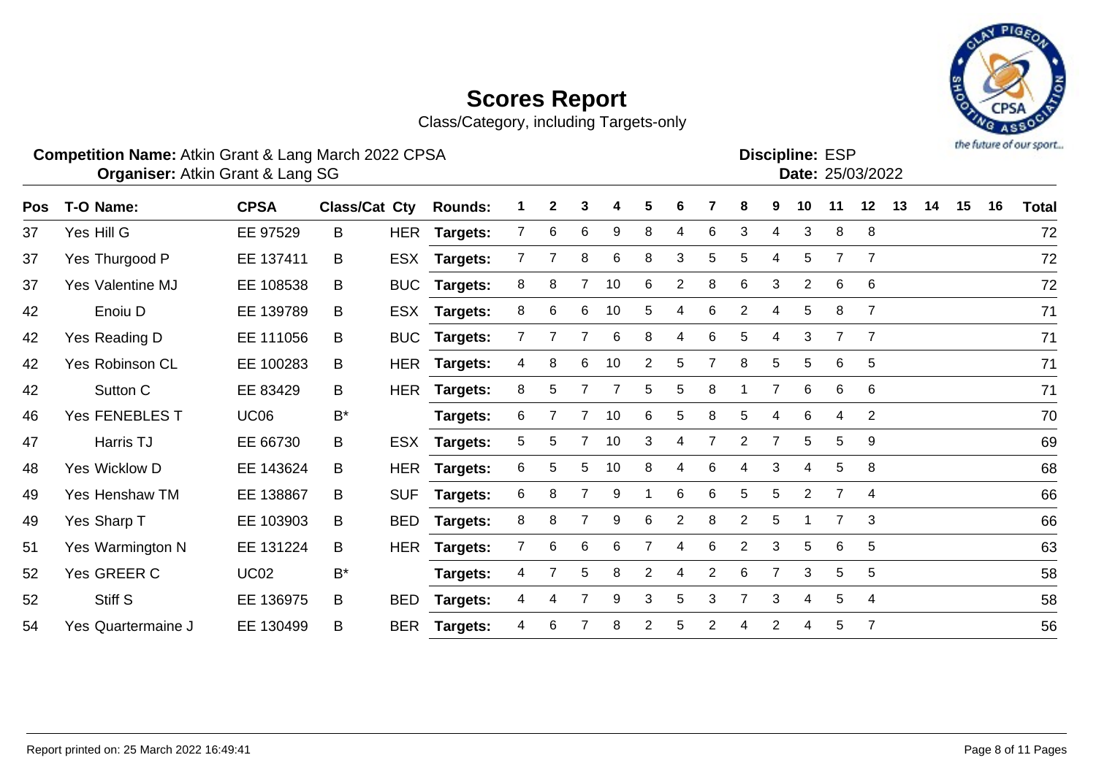

Class/Category, including Targets-only

### **Competition Name:** Atkin Grant & Lang March 2022 CPSA Entertainment of the Competition Name: ESP

**Discipline:**

|  | Date: 25/03/202 |
|--|-----------------|
|  |                 |

| <b>Pos</b> | T-O Name:          | <b>CPSA</b> | Class/Cat Cty |            | <b>Rounds:</b>  |                | 2 | 3 | 4  | 5              | 6              |                | 8              | 9              | 10             | 11             | 12             | 13 | 14 | 15 | 16 | <b>Total</b> |
|------------|--------------------|-------------|---------------|------------|-----------------|----------------|---|---|----|----------------|----------------|----------------|----------------|----------------|----------------|----------------|----------------|----|----|----|----|--------------|
| 37         | Yes Hill G         | EE 97529    | B             |            | HER Targets:    | 7              | 6 | 6 | 9  | 8              | 4              | 6              | 3              | 4              | 3              | 8              | 8              |    |    |    |    | 72           |
| 37         | Yes Thurgood P     | EE 137411   | B             | <b>ESX</b> | <b>Targets:</b> | 7              |   | 8 | 6  | 8              | 3              | 5              | 5              | 4              | 5              | 7              | 7              |    |    |    |    | 72           |
| 37         | Yes Valentine MJ   | EE 108538   | B             | <b>BUC</b> | <b>Targets:</b> | 8              | 8 | 7 | 10 | 6              | 2              | 8              | 6              | 3              | 2              | 6              | 6              |    |    |    |    | 72           |
| 42         | Enoiu D            | EE 139789   | B             | <b>ESX</b> | <b>Targets:</b> | 8              | 6 | 6 | 10 | 5              | 4              | 6              | 2              | 4              | 5              | 8              | $\overline{7}$ |    |    |    |    | 71           |
| 42         | Yes Reading D      | EE 111056   | B             | <b>BUC</b> | <b>Targets:</b> | $\overline{7}$ |   |   | 6  | 8              | 4              | 6              | 5              | 4              | 3              | $\overline{7}$ | $\overline{7}$ |    |    |    |    | 71           |
| 42         | Yes Robinson CL    | EE 100283   | B             | HER        | <b>Targets:</b> | 4              | 8 | 6 | 10 | 2              | 5              |                | 8              | 5              | 5              | 6              | 5              |    |    |    |    | 71           |
| 42         | Sutton C           | EE 83429    | B             | <b>HER</b> | Targets:        | 8              | 5 |   |    | 5              | 5              | 8              |                |                | 6              | 6              | 6              |    |    |    |    | 71           |
| 46         | Yes FENEBLES T     | <b>UC06</b> | $B^*$         |            | Targets:        | 6              |   |   | 10 | 6              | 5              | 8              | 5              | 4              | 6              | 4              | $\overline{2}$ |    |    |    |    | 70           |
| 47         | Harris TJ          | EE 66730    | B             | ESX        | <b>Targets:</b> | 5              | 5 |   | 10 | 3              | 4              |                | $\overline{2}$ |                | 5              | 5              | 9              |    |    |    |    | 69           |
| 48         | Yes Wicklow D      | EE 143624   | B             | HER        | <b>Targets:</b> | 6              | 5 | 5 | 10 | 8              | 4              | 6              | 4              | 3              | 4              | 5              | 8              |    |    |    |    | 68           |
| 49         | Yes Henshaw TM     | EE 138867   | B             | <b>SUF</b> | Targets:        | 6              | 8 |   | 9  |                | 6              | 6              | 5              | 5              | 2              | 7              | 4              |    |    |    |    | 66           |
| 49         | Yes Sharp T        | EE 103903   | B             | <b>BED</b> | Targets:        | 8              | 8 | 7 | 9  | 6              | $\overline{2}$ | 8              | 2              | 5              |                | $\overline{7}$ | 3              |    |    |    |    | 66           |
| 51         | Yes Warmington N   | EE 131224   | B             | HER        | <b>Targets:</b> | $\overline{7}$ | 6 | 6 | 6  |                | 4              | 6              | 2              | 3              | 5              | 6              | 5              |    |    |    |    | 63           |
| 52         | Yes GREER C        | <b>UC02</b> | $B^*$         |            | Targets:        | 4              |   | 5 | 8  | $\overline{2}$ | 4              | $\overline{2}$ | 6              | $\overline{7}$ | 3              | 5              | 5              |    |    |    |    | 58           |
| 52         | Stiff S            | EE 136975   | B             | <b>BED</b> | <b>Targets:</b> | 4              | 4 |   | 9  | 3              | 5              | 3              | 7              | 3              | $\overline{4}$ | 5              | 4              |    |    |    |    | 58           |
| 54         | Yes Quartermaine J | EE 130499   | B             | <b>BER</b> | Targets:        | 4              | 6 |   | 8  | 2              | 5              | 2              | 4              | 2              | 4              | 5              | $\overline{7}$ |    |    |    |    | 56           |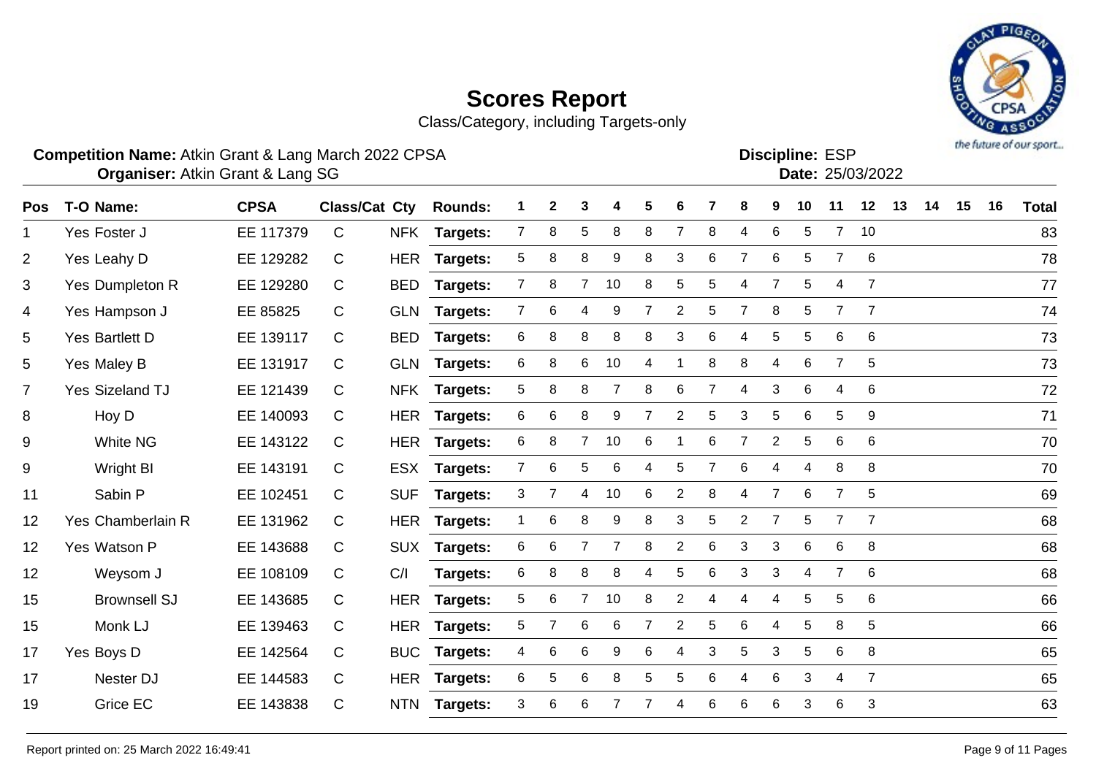# PIQ the future of our sport...

# **Scores Report**

Class/Category, including Targets-only

### **Competition Name:** Atkin Grant & Lang March 2022 CPSA Entertainment of the Competition Name: ESP

| <b>Discipline: ESP</b> |                 |
|------------------------|-----------------|
|                        | Date: 25/03/202 |

| Pos            | T-O Name:              | <b>CPSA</b> | Class/Cat Cty |            | <b>Rounds:</b>  | 1              | $\boldsymbol{2}$ | 3               | 4  | 5              | 6              |                | 8                         | 9              | 10 | 11             | 12             | 13 | 14 | 15 | 16 | <b>Total</b> |
|----------------|------------------------|-------------|---------------|------------|-----------------|----------------|------------------|-----------------|----|----------------|----------------|----------------|---------------------------|----------------|----|----------------|----------------|----|----|----|----|--------------|
| 1              | Yes Foster J           | EE 117379   | $\mathsf{C}$  |            | NFK Targets:    | $\overline{7}$ | 8                | $\overline{5}$  | 8  | 8              | 7              | 8              | 4                         | 6              | 5  | $\overline{7}$ | 10             |    |    |    |    | 83           |
| $\overline{2}$ | Yes Leahy D            | EE 129282   | C             | <b>HER</b> | <b>Targets:</b> | 5              | 8                | 8               | 9  | 8              | 3              | 6              | $\overline{7}$            | 6              | 5  | $\overline{7}$ | 6              |    |    |    |    | 78           |
| 3              | Yes Dumpleton R        | EE 129280   | C             | <b>BED</b> | <b>Targets:</b> | $\overline{7}$ | 8                | $\overline{7}$  | 10 | 8              | 5              | 5              | 4                         | $\overline{7}$ | 5  | 4              | $\overline{7}$ |    |    |    |    | 77           |
| 4              | Yes Hampson J          | EE 85825    | $\mathsf{C}$  | <b>GLN</b> | <b>Targets:</b> | $\overline{7}$ | 6                | 4               | 9  | 7              | $\overline{c}$ | 5              | $\overline{7}$            | 8              | 5  | $\overline{7}$ | $\overline{7}$ |    |    |    |    | 74           |
| 5              | Yes Bartlett D         | EE 139117   | C             | <b>BED</b> | <b>Targets:</b> | 6              | 8                | 8               | 8  | 8              | 3              | 6              | 4                         | 5              | 5  | 6              | 6              |    |    |    |    | 73           |
| 5              | Yes Maley B            | EE 131917   | C             | <b>GLN</b> | <b>Targets:</b> | 6              | 8                | 6               | 10 | 4              |                | 8              | 8                         | 4              | 6  | 7              | 5              |    |    |    |    | 73           |
| $\overline{7}$ | <b>Yes Sizeland TJ</b> | EE 121439   | C             |            | NFK Targets:    | 5              | 8                | 8               | 7  | 8              | 6              | $\overline{7}$ | 4                         | 3              | 6  | 4              | 6              |    |    |    |    | 72           |
| 8              | Hoy D                  | EE 140093   | C             |            | HER Targets:    | 6              | 6                | 8               | 9  | $\overline{7}$ | $\overline{2}$ | 5              | $\ensuremath{\mathsf{3}}$ | 5              | 6  | 5              | 9              |    |    |    |    | 71           |
| 9              | <b>White NG</b>        | EE 143122   | C             |            | HER Targets:    | 6              | 8                | $7^{\circ}$     | 10 | 6              |                | 6              | 7                         | $\overline{2}$ | 5  | 6              | 6              |    |    |    |    | 70           |
| 9              | Wright BI              | EE 143191   | C             |            | ESX Targets:    | $\mathbf{7}$   | 6                | 5               | 6  | 4              | 5              | 7              | 6                         | 4              | 4  | 8              | 8              |    |    |    |    | 70           |
| 11             | Sabin P                | EE 102451   | C             | <b>SUF</b> | <b>Targets:</b> | 3              | 7                | 4               | 10 | 6              | 2              | 8              | 4                         | $\overline{7}$ | 6  | $\overline{7}$ | 5              |    |    |    |    | 69           |
| 12             | Yes Chamberlain R      | EE 131962   | C             |            | HER Targets:    | 1              | 6                | 8               | 9  | 8              | 3              | 5              | $\overline{2}$            | $\overline{7}$ | 5  | $\overline{7}$ | $\overline{7}$ |    |    |    |    | 68           |
| 12             | Yes Watson P           | EE 143688   | C             | <b>SUX</b> | Targets:        | 6              | 6                |                 | 7  | 8              | 2              | 6              | 3                         | 3              | 6  | 6              | 8              |    |    |    |    | 68           |
| 12             | Weysom J               | EE 108109   | C.            | C/I        | Targets:        | 6              | 8                | 8               | 8  | 4              | 5              | 6              | 3                         | 3              | 4  | $\overline{7}$ | 6              |    |    |    |    | 68           |
| 15             | <b>Brownsell SJ</b>    | EE 143685   | C             |            | HER Targets:    | 5              | 6                | $\overline{7}$  | 10 | 8              | 2              | 4              | 4                         | 4              | 5  | 5              | 6              |    |    |    |    | 66           |
| 15             | Monk LJ                | EE 139463   | C             |            | HER Targets:    | 5              | 7                | 6               | 6  | 7              | 2              | 5              | 6                         | 4              | 5  | 8              | 5              |    |    |    |    | 66           |
| 17             | Yes Boys D             | EE 142564   | C             | <b>BUC</b> | <b>Targets:</b> | 4              | 6                | 6               | 9  | 6              | 4              | 3              | 5                         | 3              | 5  | 6              | 8              |    |    |    |    | 65           |
| 17             | Nester DJ              | EE 144583   | C             |            | HER Targets:    | 6              | 5                | 6               | 8  | 5              | 5              | 6              | 4                         | 6              | 3  | 4              | $\overline{7}$ |    |    |    |    | 65           |
| 19             | <b>Grice EC</b>        | EE 143838   | C             | <b>NTN</b> | <b>Targets:</b> | 3              | 6                | $6\phantom{1}6$ |    |                | 4              | 6              | 6                         | 6              | 3  | 6              | 3              |    |    |    |    | 63           |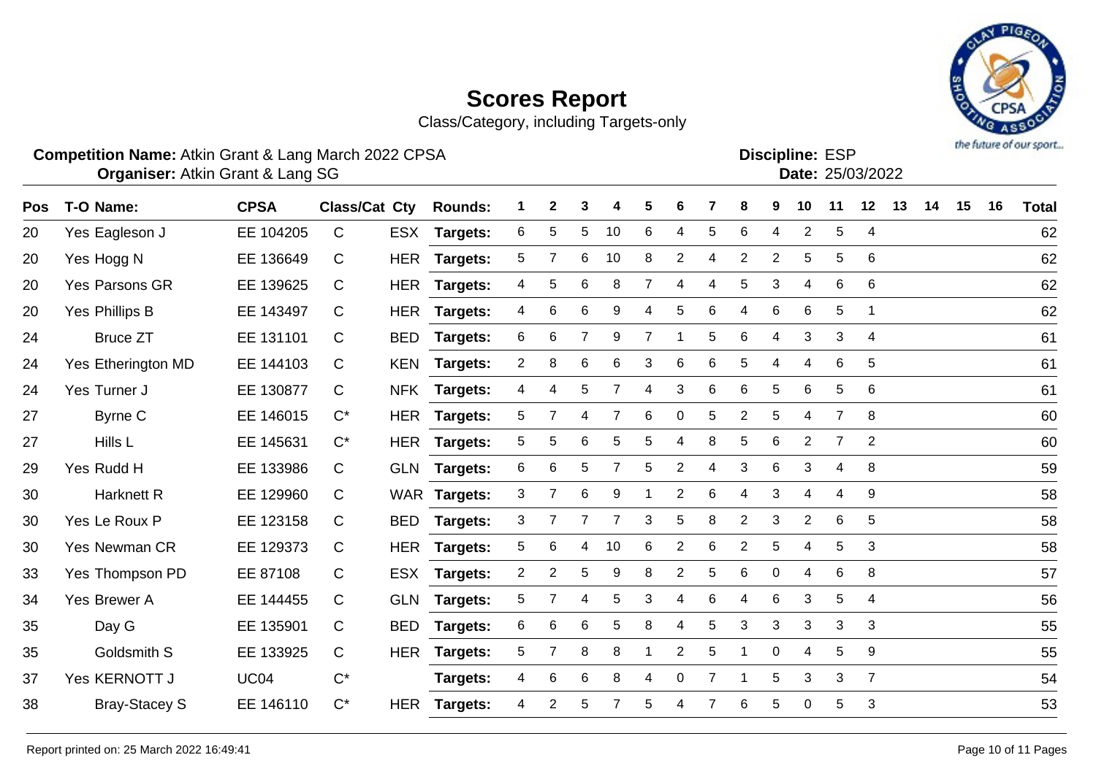Class/Category, including Targets-only

#### **Competition Name:** Atkin Grant & Lang March 2022 CPSA Entertainment of the Competition Name: ESP

Atkin Grant & Lang SG 25/03/2022 **Organiser: Date:**

Discipline: ESP<br>Date: 25/03/2022

| Pos | T-O Name:            | <b>CPSA</b> | Class/Cat Cty |            | <b>Rounds:</b>  | 1              | $\mathbf{2}$   | 3              |                | 5 | 6         |   | 8              | 9              | 10                    | 11             | 12             | 13 | 14 | 15 | 16 | <b>Total</b> |
|-----|----------------------|-------------|---------------|------------|-----------------|----------------|----------------|----------------|----------------|---|-----------|---|----------------|----------------|-----------------------|----------------|----------------|----|----|----|----|--------------|
| 20  | Yes Eagleson J       | EE 104205   | $\mathsf{C}$  |            | ESX Targets:    | 6              | 5              | 5              | 10             | 6 | 4         | 5 | 6              | 4              | $\overline{2}$        | 5              | 4              |    |    |    |    | 62           |
| 20  | Yes Hogg N           | EE 136649   | C             | HER        | <b>Targets:</b> | 5              |                | 6              | 10             | 8 | 2         | 4 | $\overline{2}$ | $\overline{2}$ | 5                     | 5              | 6              |    |    |    |    | 62           |
| 20  | Yes Parsons GR       | EE 139625   | C             |            | HER Targets:    | 4              | 5              | 6              | 8              | 7 | 4         | 4 | 5              | 3              | 4                     | 6              | 6              |    |    |    |    | 62           |
| 20  | Yes Phillips B       | EE 143497   | C             | <b>HER</b> | <b>Targets:</b> | 4              | 6              | 6              | 9              | 4 | 5         | 6 | 4              | 6              | 6                     | 5              | $\mathbf 1$    |    |    |    |    | 62           |
| 24  | <b>Bruce ZT</b>      | EE 131101   | C             | <b>BED</b> | Targets:        | 6              | 6              | $\overline{7}$ | 9              | 7 | 1         | 5 | 6              | 4              | 3                     | 3              | $\overline{4}$ |    |    |    |    | 61           |
| 24  | Yes Etherington MD   | EE 144103   | C             | <b>KEN</b> | Targets:        | $\overline{a}$ | 8              | 6              | 6              | 3 | 6         | 6 | 5              | 4              | 4                     | 6              | 5              |    |    |    |    | 61           |
| 24  | Yes Turner J         | EE 130877   | C             |            | NFK Targets:    | 4              | 4              | 5              | $\overline{7}$ | 4 | 3         | 6 | 6              | 5              | 6                     | 5              | 6              |    |    |    |    | 61           |
| 27  | Byrne C              | EE 146015   | $C^*$         |            | HER Targets:    | 5              | 7              | 4              | $\overline{7}$ | 6 | $\pmb{0}$ | 5 | $\overline{2}$ | 5              | 4                     | $\overline{7}$ | 8              |    |    |    |    | 60           |
| 27  | Hills L              | EE 145631   | $C^*$         |            | HER Targets:    | 5              | 5              | 6              | 5              | 5 | 4         | 8 | 5              | 6              | $\mathbf{2}^{\prime}$ | $\overline{7}$ | 2              |    |    |    |    | 60           |
| 29  | Yes Rudd H           | EE 133986   | C             |            | GLN Targets:    | 6              | 6              | 5              | $\overline{7}$ | 5 | 2         | 4 | 3              | 6              | 3                     | 4              | 8              |    |    |    |    | 59           |
| 30  | <b>Harknett R</b>    | EE 129960   | C             |            | WAR Targets:    | 3              | 7              | 6              | 9              |   | 2         | 6 | 4              | 3              | 4                     | 4              | 9              |    |    |    |    | 58           |
| 30  | Yes Le Roux P        | EE 123158   | C             | <b>BED</b> | <b>Targets:</b> | 3              |                |                |                | 3 | 5         | 8 | $\overline{2}$ | 3              | $\overline{2}$        | 6              | 5              |    |    |    |    | 58           |
| 30  | <b>Yes Newman CR</b> | EE 129373   | C             | <b>HER</b> | <b>Targets:</b> | 5              | 6              | 4              | 10             | 6 | 2         | 6 | $\overline{2}$ | 5              | 4                     | 5              | 3              |    |    |    |    | 58           |
| 33  | Yes Thompson PD      | EE 87108    | C             |            | ESX Targets:    | $\overline{2}$ | $\overline{2}$ | 5              | 9              | 8 | 2         | 5 | 6              | 0              | 4                     | 6              | 8              |    |    |    |    | 57           |
| 34  | Yes Brewer A         | EE 144455   | C             |            | GLN Targets:    | 5              | 7              | 4              | 5              | 3 | 4         | 6 | 4              | 6              | 3                     | 5              | 4              |    |    |    |    | 56           |
| 35  | Day G                | EE 135901   | C             | <b>BED</b> | <b>Targets:</b> | 6              | 6              | 6              | 5              | 8 | 4         | 5 | 3              | 3              | 3                     | 3              | 3              |    |    |    |    | 55           |
| 35  | Goldsmith S          | EE 133925   | C             | <b>HER</b> | <b>Targets:</b> | 5              |                | 8              | 8              |   | 2         | 5 |                | 0              | 4                     | 5              | 9              |    |    |    |    | 55           |
| 37  | Yes KERNOTT J        | <b>UC04</b> | $C^*$         |            | <b>Targets:</b> | 4              | 6              | 6              | 8              | 4 | 0         | 7 |                | 5              | 3                     | 3              | $\overline{7}$ |    |    |    |    | 54           |
| 38  | <b>Bray-Stacey S</b> | EE 146110   | $C^*$         | HER        | <b>Targets:</b> | 4              | $\overline{2}$ | 5              |                | 5 | 4         |   | 6              | 5              | $\Omega$              | 5              | 3              |    |    |    |    | 53           |